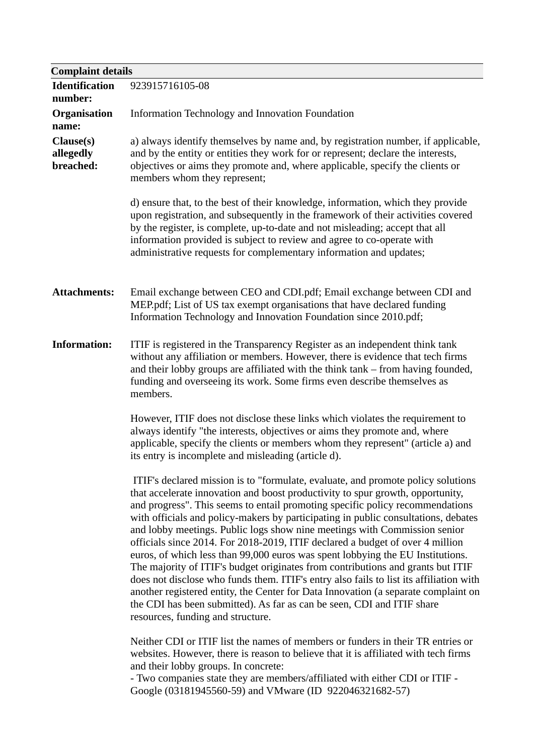| <b>Complaint details</b>            |                                                                                                                                                                                                                                                                                                                                                                                                                                                                                                                                                                                                                                                                                                                                                                                                                                                                                                                                                                             |
|-------------------------------------|-----------------------------------------------------------------------------------------------------------------------------------------------------------------------------------------------------------------------------------------------------------------------------------------------------------------------------------------------------------------------------------------------------------------------------------------------------------------------------------------------------------------------------------------------------------------------------------------------------------------------------------------------------------------------------------------------------------------------------------------------------------------------------------------------------------------------------------------------------------------------------------------------------------------------------------------------------------------------------|
| <b>Identification</b><br>number:    | 923915716105-08                                                                                                                                                                                                                                                                                                                                                                                                                                                                                                                                                                                                                                                                                                                                                                                                                                                                                                                                                             |
| <b>Organisation</b><br>name:        | Information Technology and Innovation Foundation                                                                                                                                                                                                                                                                                                                                                                                                                                                                                                                                                                                                                                                                                                                                                                                                                                                                                                                            |
| Clause(s)<br>allegedly<br>breached: | a) always identify themselves by name and, by registration number, if applicable,<br>and by the entity or entities they work for or represent; declare the interests,<br>objectives or aims they promote and, where applicable, specify the clients or<br>members whom they represent;                                                                                                                                                                                                                                                                                                                                                                                                                                                                                                                                                                                                                                                                                      |
|                                     | d) ensure that, to the best of their knowledge, information, which they provide<br>upon registration, and subsequently in the framework of their activities covered<br>by the register, is complete, up-to-date and not misleading; accept that all<br>information provided is subject to review and agree to co-operate with<br>administrative requests for complementary information and updates;                                                                                                                                                                                                                                                                                                                                                                                                                                                                                                                                                                         |
| <b>Attachments:</b>                 | Email exchange between CEO and CDI.pdf; Email exchange between CDI and<br>MEP.pdf; List of US tax exempt organisations that have declared funding<br>Information Technology and Innovation Foundation since 2010.pdf;                                                                                                                                                                                                                                                                                                                                                                                                                                                                                                                                                                                                                                                                                                                                                       |
| <b>Information:</b>                 | ITIF is registered in the Transparency Register as an independent think tank<br>without any affiliation or members. However, there is evidence that tech firms<br>and their lobby groups are affiliated with the think tank – from having founded,<br>funding and overseeing its work. Some firms even describe themselves as<br>members.                                                                                                                                                                                                                                                                                                                                                                                                                                                                                                                                                                                                                                   |
|                                     | However, ITIF does not disclose these links which violates the requirement to<br>always identify "the interests, objectives or aims they promote and, where<br>applicable, specify the clients or members whom they represent" (article a) and<br>its entry is incomplete and misleading (article d).                                                                                                                                                                                                                                                                                                                                                                                                                                                                                                                                                                                                                                                                       |
|                                     | ITIF's declared mission is to "formulate, evaluate, and promote policy solutions<br>that accelerate innovation and boost productivity to spur growth, opportunity,<br>and progress". This seems to entail promoting specific policy recommendations<br>with officials and policy-makers by participating in public consultations, debates<br>and lobby meetings. Public logs show nine meetings with Commission senior<br>officials since 2014. For 2018-2019, ITIF declared a budget of over 4 million<br>euros, of which less than 99,000 euros was spent lobbying the EU Institutions.<br>The majority of ITIF's budget originates from contributions and grants but ITIF<br>does not disclose who funds them. ITIF's entry also fails to list its affiliation with<br>another registered entity, the Center for Data Innovation (a separate complaint on<br>the CDI has been submitted). As far as can be seen, CDI and ITIF share<br>resources, funding and structure. |
|                                     | Neither CDI or ITIF list the names of members or funders in their TR entries or<br>websites. However, there is reason to believe that it is affiliated with tech firms<br>and their lobby groups. In concrete:                                                                                                                                                                                                                                                                                                                                                                                                                                                                                                                                                                                                                                                                                                                                                              |

- Two companies state they are members/affiliated with either CDI or ITIF - Google (03181945560-59) and VMware (ID 922046321682-57)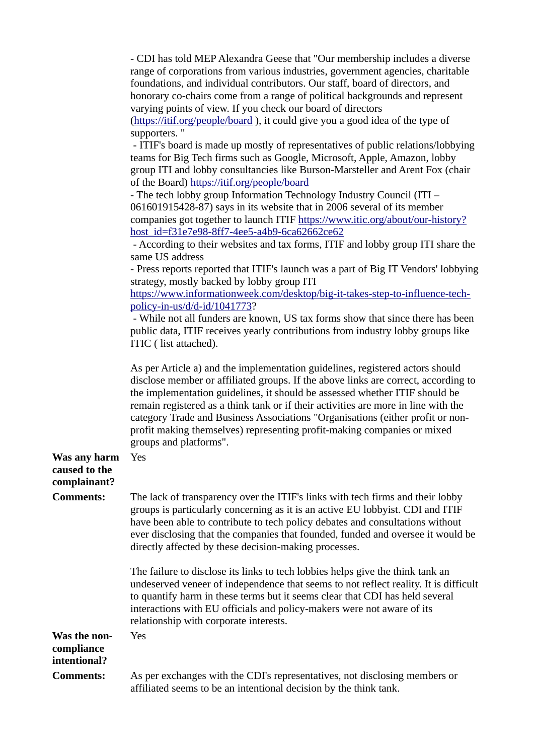|                                               | - CDI has told MEP Alexandra Geese that "Our membership includes a diverse<br>range of corporations from various industries, government agencies, charitable<br>foundations, and individual contributors. Our staff, board of directors, and<br>honorary co-chairs come from a range of political backgrounds and represent<br>varying points of view. If you check our board of directors<br>(https://itif.org/people/board), it could give you a good idea of the type of<br>supporters."<br>- ITIF's board is made up mostly of representatives of public relations/lobbying<br>teams for Big Tech firms such as Google, Microsoft, Apple, Amazon, lobby<br>group ITI and lobby consultancies like Burson-Marsteller and Arent Fox (chair<br>of the Board) https://itif.org/people/board<br>- The tech lobby group Information Technology Industry Council (ITI -<br>061601915428-87) says in its website that in 2006 several of its member<br>companies got together to launch ITIF https://www.itic.org/about/our-history?<br>host_id=f31e7e98-8ff7-4ee5-a4b9-6ca62662ce62<br>- According to their websites and tax forms, ITIF and lobby group ITI share the<br>same US address<br>- Press reports reported that ITIF's launch was a part of Big IT Vendors' lobbying<br>strategy, mostly backed by lobby group ITI<br>https://www.informationweek.com/desktop/big-it-takes-step-to-influence-tech-<br>policy-in-us/d/d-id/1041773?<br>- While not all funders are known, US tax forms show that since there has been<br>public data, ITIF receives yearly contributions from industry lobby groups like<br>ITIC (list attached). |
|-----------------------------------------------|------------------------------------------------------------------------------------------------------------------------------------------------------------------------------------------------------------------------------------------------------------------------------------------------------------------------------------------------------------------------------------------------------------------------------------------------------------------------------------------------------------------------------------------------------------------------------------------------------------------------------------------------------------------------------------------------------------------------------------------------------------------------------------------------------------------------------------------------------------------------------------------------------------------------------------------------------------------------------------------------------------------------------------------------------------------------------------------------------------------------------------------------------------------------------------------------------------------------------------------------------------------------------------------------------------------------------------------------------------------------------------------------------------------------------------------------------------------------------------------------------------------------------------------------------------------------------------------------------------------------------------------|
|                                               | As per Article a) and the implementation guidelines, registered actors should<br>disclose member or affiliated groups. If the above links are correct, according to<br>the implementation guidelines, it should be assessed whether ITIF should be<br>remain registered as a think tank or if their activities are more in line with the<br>category Trade and Business Associations "Organisations (either profit or non-<br>profit making themselves) representing profit-making companies or mixed<br>groups and platforms".                                                                                                                                                                                                                                                                                                                                                                                                                                                                                                                                                                                                                                                                                                                                                                                                                                                                                                                                                                                                                                                                                                          |
| Was any harm<br>caused to the<br>complainant? | Yes                                                                                                                                                                                                                                                                                                                                                                                                                                                                                                                                                                                                                                                                                                                                                                                                                                                                                                                                                                                                                                                                                                                                                                                                                                                                                                                                                                                                                                                                                                                                                                                                                                      |
| <b>Comments:</b>                              | The lack of transparency over the ITIF's links with tech firms and their lobby<br>groups is particularly concerning as it is an active EU lobbyist. CDI and ITIF<br>have been able to contribute to tech policy debates and consultations without<br>ever disclosing that the companies that founded, funded and oversee it would be<br>directly affected by these decision-making processes.                                                                                                                                                                                                                                                                                                                                                                                                                                                                                                                                                                                                                                                                                                                                                                                                                                                                                                                                                                                                                                                                                                                                                                                                                                            |
|                                               | The failure to disclose its links to tech lobbies helps give the think tank an<br>undeserved veneer of independence that seems to not reflect reality. It is difficult<br>to quantify harm in these terms but it seems clear that CDI has held several<br>interactions with EU officials and policy-makers were not aware of its<br>relationship with corporate interests.                                                                                                                                                                                                                                                                                                                                                                                                                                                                                                                                                                                                                                                                                                                                                                                                                                                                                                                                                                                                                                                                                                                                                                                                                                                               |
| Was the non-<br>compliance<br>intentional?    | Yes                                                                                                                                                                                                                                                                                                                                                                                                                                                                                                                                                                                                                                                                                                                                                                                                                                                                                                                                                                                                                                                                                                                                                                                                                                                                                                                                                                                                                                                                                                                                                                                                                                      |
| <b>Comments:</b>                              | As per exchanges with the CDI's representatives, not disclosing members or<br>affiliated seems to be an intentional decision by the think tank.                                                                                                                                                                                                                                                                                                                                                                                                                                                                                                                                                                                                                                                                                                                                                                                                                                                                                                                                                                                                                                                                                                                                                                                                                                                                                                                                                                                                                                                                                          |